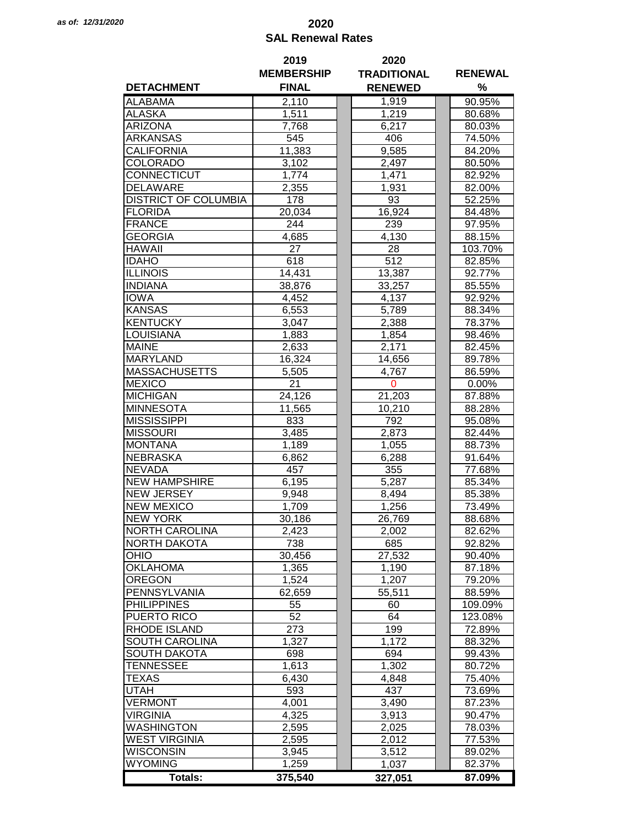## *as of: 12/31/2020* **2020 SAL Renewal Rates**

|                             | 2019              | 2020               |                |  |
|-----------------------------|-------------------|--------------------|----------------|--|
|                             | <b>MEMBERSHIP</b> | <b>TRADITIONAL</b> | <b>RENEWAL</b> |  |
| <b>DETACHMENT</b>           | <b>FINAL</b>      | <b>RENEWED</b>     | %              |  |
| <b>ALABAMA</b>              | 2,110             | 1,919              | 90.95%         |  |
| <b>ALASKA</b>               | 1,511             | 1,219              | 80.68%         |  |
| <b>ARIZONA</b>              | 7,768             | 6,217              | 80.03%         |  |
| ARKANSAS                    | 545               | 406                | 74.50%         |  |
| CALIFORNIA                  | 11,383            | 9,585              | 84.20%         |  |
| COLORADO                    | 3,102             | 2,497              | 80.50%         |  |
| CONNECTICUT                 | 1,774             | 1,471              | 82.92%         |  |
| <b>DELAWARE</b>             | 2,355             | 1,931              | 82.00%         |  |
| <b>DISTRICT OF COLUMBIA</b> | 178               | 93                 | 52.25%         |  |
|                             |                   | 16,924             |                |  |
| <b>FLORIDA</b>              | 20,034            |                    | 84.48%         |  |
| <b>FRANCE</b>               | 244               | 239                | 97.95%         |  |
| <b>GEORGIA</b>              | 4,685             | 4,130              | 88.15%         |  |
| <b>HAWAII</b>               | 27                | 28                 | 103.70%        |  |
| <b>IDAHO</b>                | 618               | 512                | 82.85%         |  |
| <b>ILLINOIS</b>             | 14,431            | 13,387             | 92.77%         |  |
| <b>INDIANA</b>              | 38,876            | 33,257             | 85.55%         |  |
| <b>IOWA</b>                 | 4,452             | 4,137              | 92.92%         |  |
| <b>KANSAS</b>               | 6,553             | 5,789              | 88.34%         |  |
| <b>KENTUCKY</b>             | 3,047             | 2,388              | 78.37%         |  |
| <b>LOUISIANA</b>            | 1,883             | 1,854              | 98.46%         |  |
| <b>MAINE</b>                | 2,633             | 2,171              | 82.45%         |  |
| <b>MARYLAND</b>             | 16,324            | 14,656             | 89.78%         |  |
| <b>MASSACHUSETTS</b>        | 5,505             | 4,767              | 86.59%         |  |
| <b>MEXICO</b>               | 21                | $\mathbf 0$        | 0.00%          |  |
| <b>MICHIGAN</b>             | 24,126            | 21,203             | 87.88%         |  |
| <b>MINNESOTA</b>            | 11,565            | 10,210             | 88.28%         |  |
| <b>MISSISSIPPI</b>          | 833               | 792                | 95.08%         |  |
| <b>MISSOURI</b>             | 3,485             | 2,873              | 82.44%         |  |
| <b>MONTANA</b>              | 1,189             | 1,055              | 88.73%         |  |
| <b>NEBRASKA</b>             | 6,862             | 6,288              | 91.64%         |  |
| <b>NEVADA</b>               | 457               | 355                | 77.68%         |  |
| <b>NEW HAMPSHIRE</b>        | 6,195             | 5,287              | 85.34%         |  |
| <b>NEW JERSEY</b>           | 9,948             | 8,494              | 85.38%         |  |
| <b>NEW MEXICO</b>           | 1,709             | 1,256              | 73.49%         |  |
| <b>NEW YORK</b>             | 30,186            | 26.769             | 88.68%         |  |
| <b>NORTH CAROLINA</b>       | 2,423             | 2,002              | 82.62%         |  |
| <b>NORTH DAKOTA</b>         | 738               | 685                | 92.82%         |  |
| OHIO                        | 30,456            | 27,532             | 90.40%         |  |
| <b>OKLAHOMA</b>             | 1,365             | 1,190              | 87.18%         |  |
| <b>OREGON</b>               | 1,524             | 1,207              | 79.20%         |  |
| PENNSYLVANIA                |                   |                    |                |  |
|                             | 62,659            | 55,511             | 88.59%         |  |
| <b>PHILIPPINES</b>          | 55                | 60                 | 109.09%        |  |
| PUERTO RICO                 | 52                | 64                 | 123.08%        |  |
| <b>RHODE ISLAND</b>         | 273               | 199                | 72.89%         |  |
| SOUTH CAROLINA              | 1,327             | 1,172              | 88.32%         |  |
| <b>SOUTH DAKOTA</b>         | 698               | 694                | 99.43%         |  |
| <b>TENNESSEE</b>            | 1,613             | 1,302              | 80.72%         |  |
| TEXAS                       | 6,430             | 4,848              | 75.40%         |  |
| <b>UTAH</b>                 | 593               | 437                | 73.69%         |  |
| <b>VERMONT</b>              | 4,001             | 3,490              | 87.23%         |  |
| <b>VIRGINIA</b>             | 4,325             | 3,913              | 90.47%         |  |
| <b>WASHINGTON</b>           | 2,595             | 2,025              | 78.03%         |  |
| <b>WEST VIRGINIA</b>        | 2,595             | 2,012              | 77.53%         |  |
| <b>WISCONSIN</b>            | 3,945             | 3,512              | 89.02%         |  |
| <b>WYOMING</b>              | 1,259             | 1,037              | 82.37%         |  |
| <b>Totals:</b>              | 375,540           | 327,051            | 87.09%         |  |